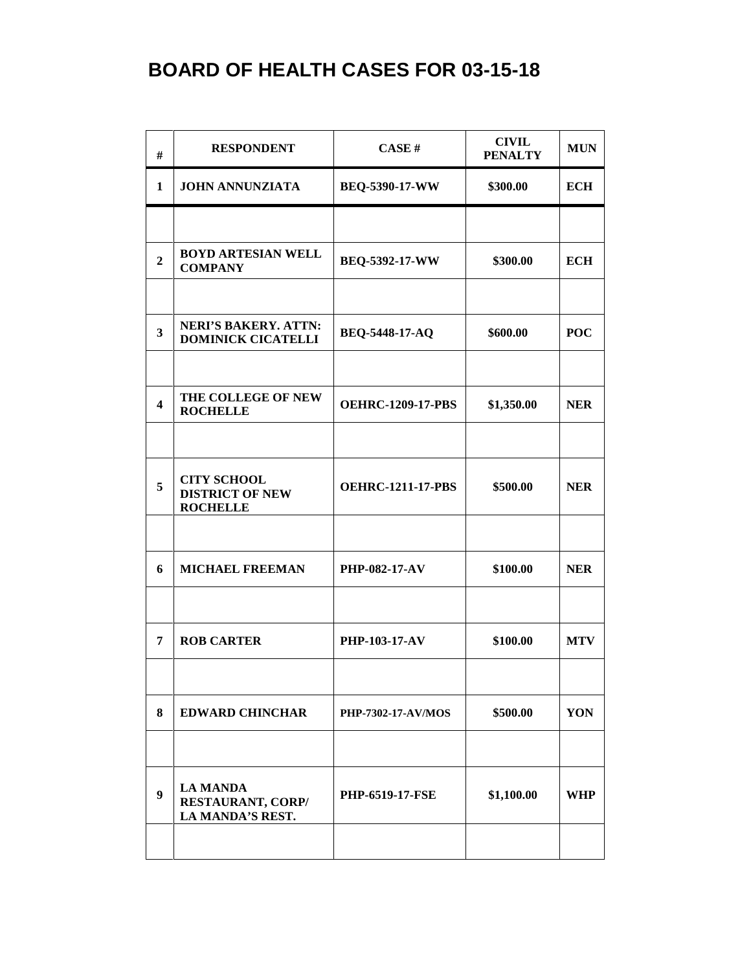| #                       | <b>RESPONDENT</b>                                               | CASE#                     | <b>CIVIL</b><br><b>PENALTY</b> | <b>MUN</b> |
|-------------------------|-----------------------------------------------------------------|---------------------------|--------------------------------|------------|
| 1                       | <b>JOHN ANNUNZIATA</b>                                          | BEQ-5390-17-WW            | \$300.00                       | <b>ECH</b> |
|                         |                                                                 |                           |                                |            |
| $\overline{2}$          | <b>BOYD ARTESIAN WELL</b><br><b>COMPANY</b>                     | BEQ-5392-17-WW            | \$300.00                       | <b>ECH</b> |
|                         |                                                                 |                           |                                |            |
| $\overline{\mathbf{3}}$ | <b>NERI'S BAKERY. ATTN:</b><br><b>DOMINICK CICATELLI</b>        | <b>BEQ-5448-17-AQ</b>     | \$600.00                       | <b>POC</b> |
| $\overline{\mathbf{4}}$ | THE COLLEGE OF NEW<br><b>ROCHELLE</b>                           | <b>OEHRC-1209-17-PBS</b>  | \$1,350.00                     | <b>NER</b> |
|                         |                                                                 |                           |                                |            |
| 5                       | <b>CITY SCHOOL</b><br><b>DISTRICT OF NEW</b><br><b>ROCHELLE</b> | <b>OEHRC-1211-17-PBS</b>  | \$500.00                       | <b>NER</b> |
|                         |                                                                 |                           |                                |            |
| 6                       | <b>MICHAEL FREEMAN</b>                                          | <b>PHP-082-17-AV</b>      | \$100.00                       | <b>NER</b> |
|                         |                                                                 |                           |                                |            |
| 7                       | <b>ROB CARTER</b>                                               | PHP-103-17-AV             | \$100.00                       | <b>MTV</b> |
| 8                       | <b>EDWARD CHINCHAR</b>                                          | <b>PHP-7302-17-AV/MOS</b> | \$500.00                       | YON        |
|                         |                                                                 |                           |                                |            |
| 9                       | <b>LA MANDA</b><br><b>RESTAURANT, CORP/</b><br>LA MANDA'S REST. | <b>PHP-6519-17-FSE</b>    | \$1,100.00                     | WHP        |
|                         |                                                                 |                           |                                |            |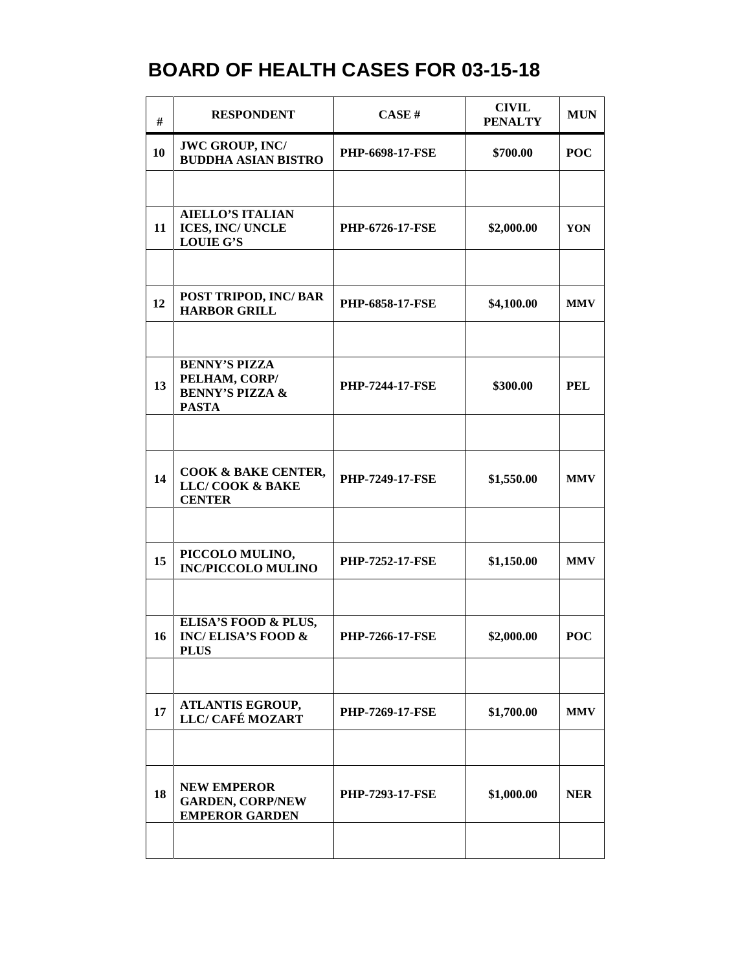| #  | <b>RESPONDENT</b>                                                                   | CASE#                  | <b>CIVIL</b><br><b>PENALTY</b> | <b>MUN</b> |
|----|-------------------------------------------------------------------------------------|------------------------|--------------------------------|------------|
| 10 | <b>JWC GROUP, INC/</b><br><b>BUDDHA ASIAN BISTRO</b>                                | <b>PHP-6698-17-FSE</b> | \$700.00                       | <b>POC</b> |
|    |                                                                                     |                        |                                |            |
| 11 | <b>AIELLO'S ITALIAN</b><br><b>ICES, INC/ UNCLE</b><br><b>LOUIE G'S</b>              | <b>PHP-6726-17-FSE</b> | \$2,000.00                     | YON        |
|    |                                                                                     |                        |                                |            |
| 12 | POST TRIPOD, INC/ BAR<br><b>HARBOR GRILL</b>                                        | <b>PHP-6858-17-FSE</b> | \$4,100.00                     | <b>MMV</b> |
|    |                                                                                     |                        |                                |            |
| 13 | <b>BENNY'S PIZZA</b><br>PELHAM, CORP/<br><b>BENNY'S PIZZA &amp;</b><br><b>PASTA</b> | <b>PHP-7244-17-FSE</b> | \$300.00                       | PEL        |
|    |                                                                                     |                        |                                |            |
| 14 | <b>COOK &amp; BAKE CENTER,</b><br>LLC/COOK & BAKE<br><b>CENTER</b>                  | <b>PHP-7249-17-FSE</b> | \$1,550.00                     | <b>MMV</b> |
|    |                                                                                     |                        |                                |            |
| 15 | PICCOLO MULINO,<br><b>INC/PICCOLO MULINO</b>                                        | <b>PHP-7252-17-FSE</b> | \$1,150.00                     | <b>MMV</b> |
|    |                                                                                     |                        |                                |            |
| 16 | ELISA'S FOOD & PLUS,<br><b>INC/ELISA'S FOOD &amp;</b><br><b>PLUS</b>                | <b>PHP-7266-17-FSE</b> | \$2,000.00                     | <b>POC</b> |
|    |                                                                                     |                        |                                |            |
| 17 | <b>ATLANTIS EGROUP,</b><br>LLC/ CAFÉ MOZART                                         | <b>PHP-7269-17-FSE</b> | \$1,700.00                     | <b>MMV</b> |
|    |                                                                                     |                        |                                |            |
| 18 | <b>NEW EMPEROR</b><br><b>GARDEN, CORP/NEW</b><br><b>EMPEROR GARDEN</b>              | <b>PHP-7293-17-FSE</b> | \$1,000.00                     | <b>NER</b> |
|    |                                                                                     |                        |                                |            |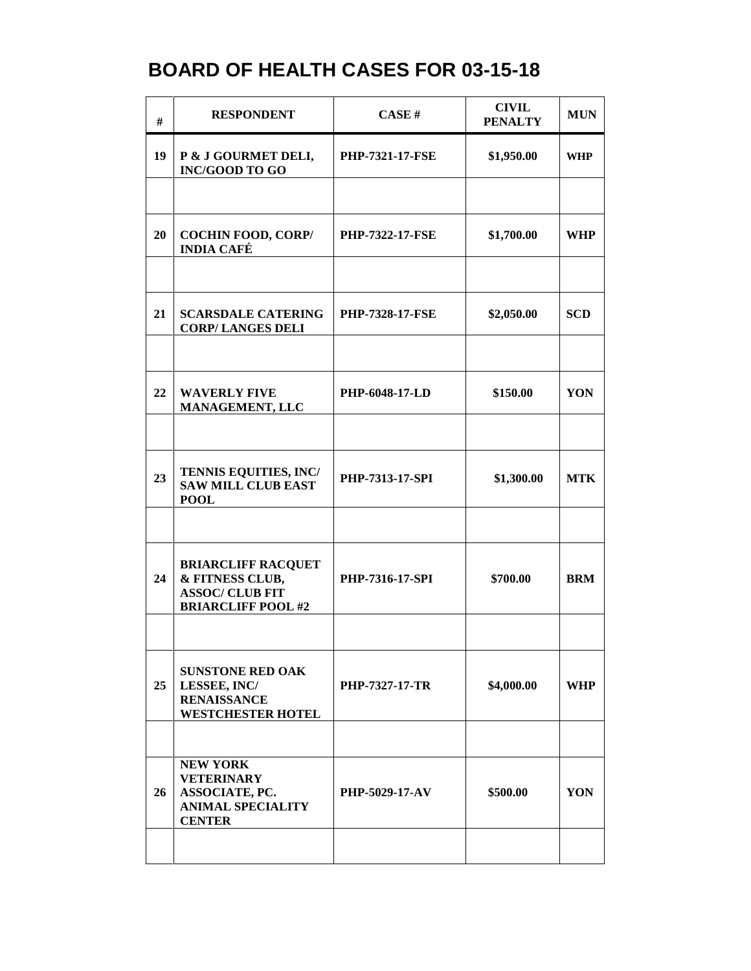| #  | <b>RESPONDENT</b>                                                                                   | CASE#                  | <b>CIVIL</b><br><b>PENALTY</b> | <b>MUN</b> |
|----|-----------------------------------------------------------------------------------------------------|------------------------|--------------------------------|------------|
| 19 | P & J GOURMET DELI,<br><b>INC/GOOD TO GO</b>                                                        | <b>PHP-7321-17-FSE</b> | \$1,950.00                     | <b>WHP</b> |
|    |                                                                                                     |                        |                                |            |
| 20 | <b>COCHIN FOOD, CORP/</b><br><b>INDIA CAFÉ</b>                                                      | <b>PHP-7322-17-FSE</b> | \$1,700.00                     | <b>WHP</b> |
|    |                                                                                                     |                        |                                |            |
| 21 | <b>SCARSDALE CATERING</b><br><b>CORP/LANGES DELI</b>                                                | <b>PHP-7328-17-FSE</b> | \$2,050.00                     | <b>SCD</b> |
|    |                                                                                                     |                        |                                |            |
| 22 | <b>WAVERLY FIVE</b><br><b>MANAGEMENT, LLC</b>                                                       | PHP-6048-17-LD         | \$150.00                       | YON        |
|    |                                                                                                     |                        |                                |            |
| 23 | TENNIS EQUITIES, INC/<br><b>SAW MILL CLUB EAST</b><br><b>POOL</b>                                   | PHP-7313-17-SPI        | \$1,300.00                     | <b>MTK</b> |
|    |                                                                                                     |                        |                                |            |
| 24 | <b>BRIARCLIFF RACQUET</b><br>& FITNESS CLUB,<br><b>ASSOC/ CLUB FIT</b><br><b>BRIARCLIFF POOL #2</b> | <b>PHP-7316-17-SPI</b> | \$700.00                       | <b>BRM</b> |
|    |                                                                                                     |                        |                                |            |
| 25 | <b>SUNSTONE RED OAK</b><br>LESSEE, INC/<br><b>RENAISSANCE</b><br><b>WESTCHESTER HOTEL</b>           | <b>PHP-7327-17-TR</b>  | \$4,000.00                     | <b>WHP</b> |
|    |                                                                                                     |                        |                                |            |
| 26 | <b>NEW YORK</b><br><b>VETERINARY</b><br>ASSOCIATE, PC.<br><b>ANIMAL SPECIALITY</b><br><b>CENTER</b> | <b>PHP-5029-17-AV</b>  | \$500.00                       | YON        |
|    |                                                                                                     |                        |                                |            |